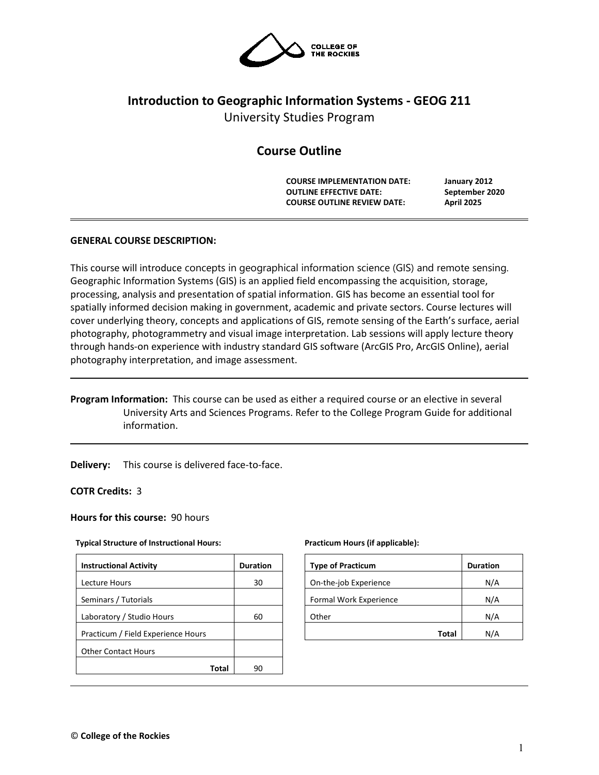

# **Introduction to Geographic Information Systems - GEOG 211**

University Studies Program

# **Course Outline**

**COURSE IMPLEMENTATION DATE: January 2012 OUTLINE EFFECTIVE DATE: September 2020 COURSE OUTLINE REVIEW DATE: April 2025**

# **GENERAL COURSE DESCRIPTION:**

This course will introduce concepts in geographical information science (GIS) and remote sensing. Geographic Information Systems (GIS) is an applied field encompassing the acquisition, storage, processing, analysis and presentation of spatial information. GIS has become an essential tool for spatially informed decision making in government, academic and private sectors. Course lectures will cover underlying theory, concepts and applications of GIS, remote sensing of the Earth's surface, aerial photography, photogrammetry and visual image interpretation. Lab sessions will apply lecture theory through hands-on experience with industry standard GIS software (ArcGIS Pro, ArcGIS Online), aerial photography interpretation, and image assessment.

**Program Information:** This course can be used as either a required course or an elective in several University Arts and Sciences Programs. Refer to the College Program Guide for additional information.

**Delivery:** This course is delivered face-to-face.

**COTR Credits:** 3

# **Hours for this course:** 90 hours

# **Typical Structure of Instructional Hours:**

| <b>Instructional Activity</b>      | <b>Duration</b> |
|------------------------------------|-----------------|
| <b>Lecture Hours</b>               | 30              |
| Seminars / Tutorials               |                 |
| Laboratory / Studio Hours          | 60              |
| Practicum / Field Experience Hours |                 |
| <b>Other Contact Hours</b>         |                 |
| Total                              |                 |

#### **Practicum Hours (if applicable):**

| <b>Type of Practicum</b> | <b>Duration</b> |
|--------------------------|-----------------|
| On-the-job Experience    | N/A             |
| Formal Work Experience   | N/A             |
| Other                    | N/A             |
| Total                    | N/A             |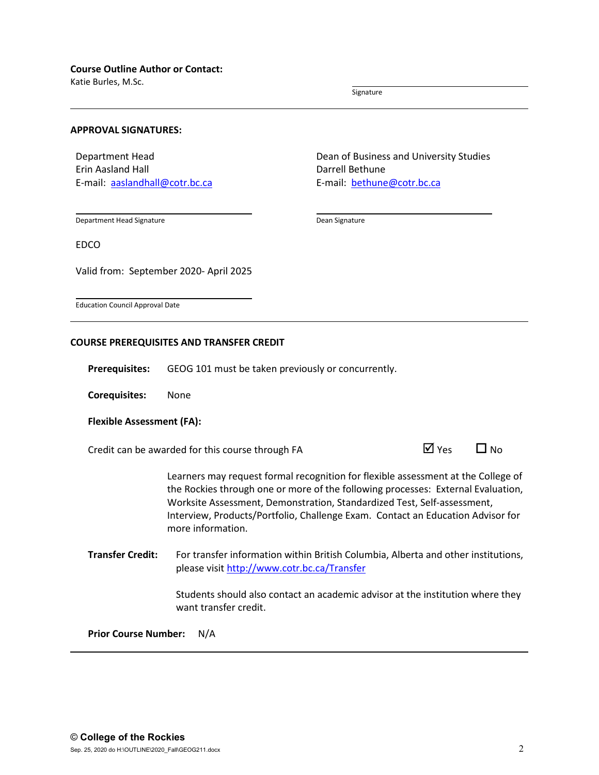Katie Burles, M.Sc.

Signature

#### **APPROVAL SIGNATURES:**

Department Head Erin Aasland Hall E-mail: [aaslandhall@cotr.bc.ca](mailto:aaslandhall@cotr.bc.ca) Dean of Business and University Studies Darrell Bethune E-mail: [bethune@cotr.bc.ca](mailto:bethune@cotr.bc.ca)

Department Head Signature

Dean Signature

EDCO

Valid from: September 2020- April 2025

Education Council Approval Date

#### **COURSE PREREQUISITES AND TRANSFER CREDIT**

**Prerequisites:** GEOG 101 must be taken previously or concurrently.

**Corequisites:** None

# **Flexible Assessment (FA):**

Credit can be awarded for this course through FA  $\Box$  Yes  $\Box$  No

Learners may request formal recognition for flexible assessment at the College of the Rockies through one or more of the following processes: External Evaluation, Worksite Assessment, Demonstration, Standardized Test, Self-assessment, Interview, Products/Portfolio, Challenge Exam. Contact an Education Advisor for more information.

**Transfer Credit:** For transfer information within British Columbia, Alberta and other institutions, please visit<http://www.cotr.bc.ca/Transfer>

> Students should also contact an academic advisor at the institution where they want transfer credit.

**Prior Course Number:** N/A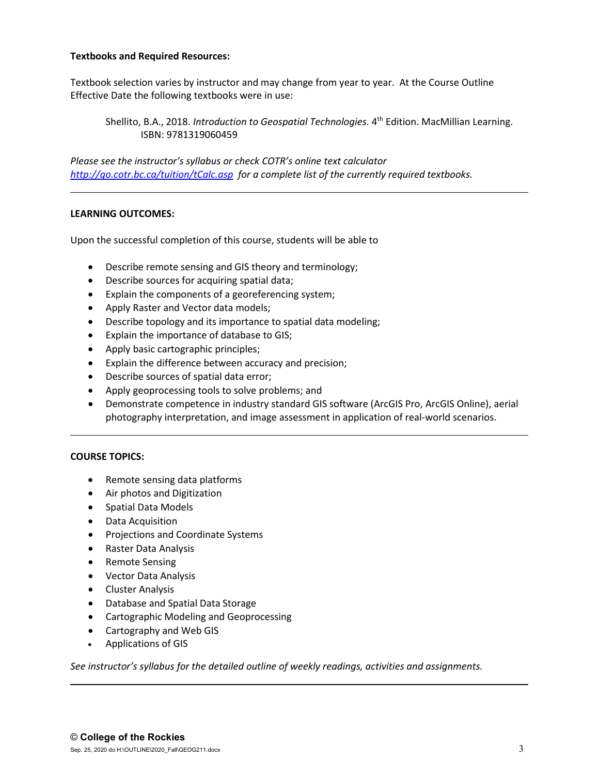# **Textbooks and Required Resources:**

Textbook selection varies by instructor and may change from year to year. At the Course Outline Effective Date the following textbooks were in use:

Shellito, B.A., 2018. *Introduction to Geospatial Technologies*. 4<sup>th</sup> Edition. MacMillian Learning. ISBN: 9781319060459

*Please see the instructor's syllabus or check COTR's online text calculator <http://go.cotr.bc.ca/tuition/tCalc.asp>for a complete list of the currently required textbooks.*

# **LEARNING OUTCOMES:**

Upon the successful completion of this course, students will be able to

- Describe remote sensing and GIS theory and terminology;
- Describe sources for acquiring spatial data;
- Explain the components of a georeferencing system;
- Apply Raster and Vector data models;
- Describe topology and its importance to spatial data modeling;
- Explain the importance of database to GIS;
- Apply basic cartographic principles;
- Explain the difference between accuracy and precision;
- Describe sources of spatial data error;
- Apply geoprocessing tools to solve problems; and
- Demonstrate competence in industry standard GIS software (ArcGIS Pro, ArcGIS Online), aerial photography interpretation, and image assessment in application of real-world scenarios.

# **COURSE TOPICS:**

- Remote sensing data platforms
- Air photos and Digitization
- Spatial Data Models
- Data Acquisition
- Projections and Coordinate Systems
- Raster Data Analysis
- Remote Sensing
- Vector Data Analysis
- Cluster Analysis
- Database and Spatial Data Storage
- Cartographic Modeling and Geoprocessing
- Cartography and Web GIS
- Applications of GIS

*See instructor's syllabus for the detailed outline of weekly readings, activities and assignments.*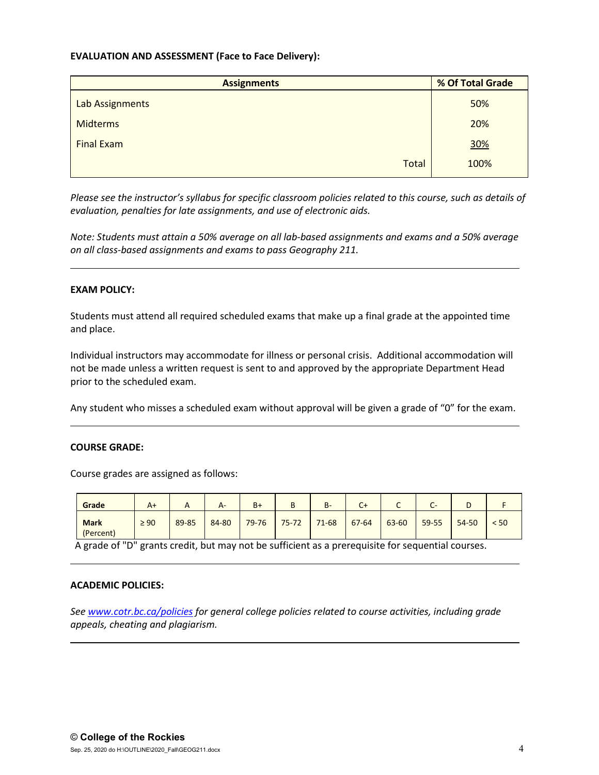# **EVALUATION AND ASSESSMENT (Face to Face Delivery):**

| <b>Assignments</b> | % Of Total Grade |  |  |
|--------------------|------------------|--|--|
| Lab Assignments    | 50%              |  |  |
| <b>Midterms</b>    | 20%              |  |  |
| <b>Final Exam</b>  | 30%              |  |  |
| <b>Total</b>       | 100%             |  |  |

*Please see the instructor's syllabus for specific classroom policies related to this course, such as details of evaluation, penalties for late assignments, and use of electronic aids.*

*Note: Students must attain a 50% average on all lab-based assignments and exams and a 50% average on all class-based assignments and exams to pass Geography 211.* 

# **EXAM POLICY:**

Students must attend all required scheduled exams that make up a final grade at the appointed time and place.

Individual instructors may accommodate for illness or personal crisis. Additional accommodation will not be made unless a written request is sent to and approved by the appropriate Department Head prior to the scheduled exam.

Any student who misses a scheduled exam without approval will be given a grade of "0" for the exam.

# **COURSE GRADE:**

Course grades are assigned as follows:

| Grade                    | $A+$      | ⌒     | $A-$  | $B+$      | D         | $B -$     | $C +$ | ◡     | -     |           |      |
|--------------------------|-----------|-------|-------|-----------|-----------|-----------|-------|-------|-------|-----------|------|
| <b>Mark</b><br>(Percent) | $\geq 90$ | 89-85 | 84-80 | $79 - 76$ | $75 - 72$ | $71 - 68$ | 67-64 | 63-60 | 59-55 | $54 - 50$ | < 50 |

A grade of "D" grants credit, but may not be sufficient as a prerequisite for sequential courses.

# **ACADEMIC POLICIES:**

*See [www.cotr.bc.ca/policies](http://www.cotr.bc.ca/policies) for general college policies related to course activities, including grade appeals, cheating and plagiarism.*